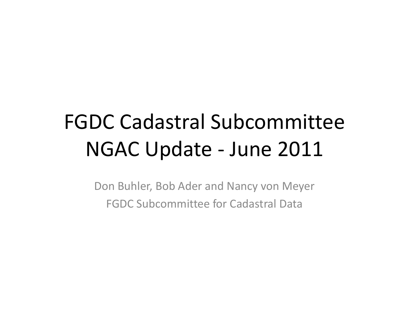# FGDC Cadastral Subcommittee NGAC Update ‐ June 2011

Don Buhler, Bob Ader and Nancy von Meyer FGDC Subcommittee for Cadastral Data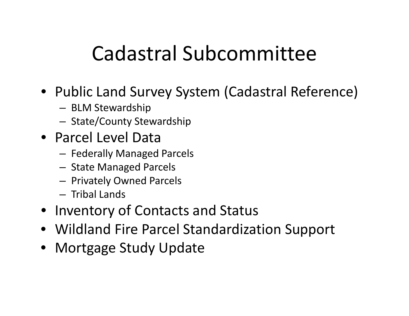# Cadastral Subcommittee

### • Public Land Survey System (Cadastral Reference)

- BLM Stewardship
- – $-$  State/County Stewardship
- Parcel Level Data
	- – $-$  Federally Managed Parcels
	- – $-$  State Managed Parcels
	- – $-$  Privately Owned Parcels
	- Tribal Lands
- Inventory of Contacts and Status
- Wildland Fire Parcel Standardization Support
- Mortgage Study Update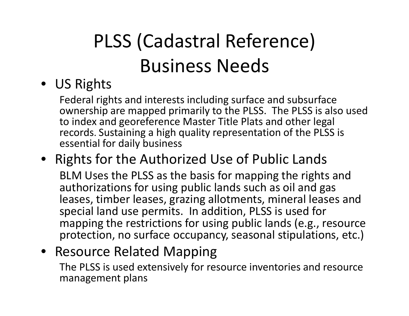# PLSS (Cadastral Reference) Business Needs

#### • US Rights

Federal rights and interests including surface and subsurface ownership are mapped primarily to the PLSS. The PLSS is also used to index and georeference Master Title Plats and other legal records. Sustaining a high quality representation of the PLSS is essential for daily business

### • Rights for the Authorized Use of Public Lands

BLM Uses the PLSS as the basis for mapping the rights and authorizations for using public lands such as oil and gas leases, timber leases, grazing allotments, mineral leases and special land use permits. In addition, PLSS is used for mapping the restrictions for using public lands (e.g., resource protection, no surface occupancy, seasonal stipulations, etc.)

#### • Resource Related Mapping

The PLSS is used extensively for resource inventories and resource management plans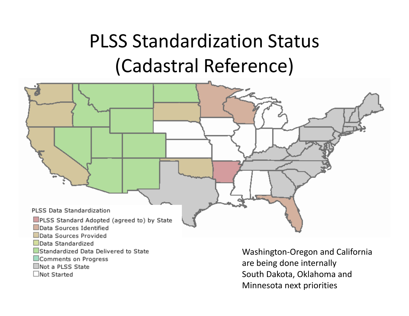# PLSS Standardization Status (Cadastral Reference)



 $\Box$ Not Started

South Dakota, Oklahoma and Minnesota next priorities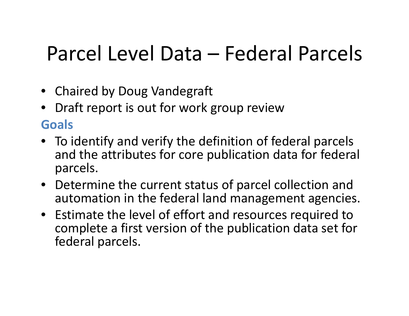# Parcel Level Data – Federal Parcels

- Chaired by Doug Vandegraft
- • Draft report is out for work group review **Goals**
- To identify and verify the definition of federal parcels and the attributes for core publication data for federal parcels.
- Determine the current status of parcel collection and automation in the federal land management agencies.
- Estimate the level of effort and resources required to complete <sup>a</sup> first version of the publication data set for federal parcels.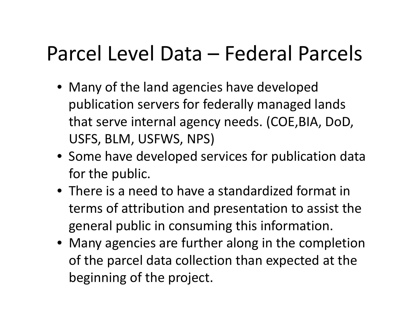# Parcel Level Data – Federal Parcels

- Many of the land agencies have developed publication servers for federally managed lands that serve internal agency needs. (COE,BIA, DoD, USFS, BLM, USFWS, NPS)
- Some have developed services for publication data for the public.
- There is <sup>a</sup> need to have <sup>a</sup> standardized format in terms of attribution and presentation to assist the general public in consuming this information.
- Many agencies are further along in the completion of the parcel data collection than expected at the beginning of the project.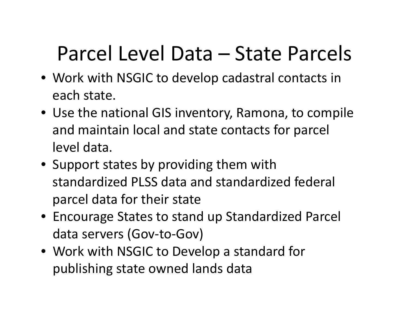# Parcel Level Data – State Parcels

- Work with NSGIC to develop cadastral contacts in each state.
- Use the national GIS inventory, Ramona, to compile and maintain local and state contacts for parcel level data.
- Support states by providing them with standardized PLSS data and standardized federal parcel data for their state
- Encourage States to stand up Standardized Parcel data servers (Gov‐to‐Gov)
- Work with NSGIC to Develop <sup>a</sup> standard for publishing state owned lands data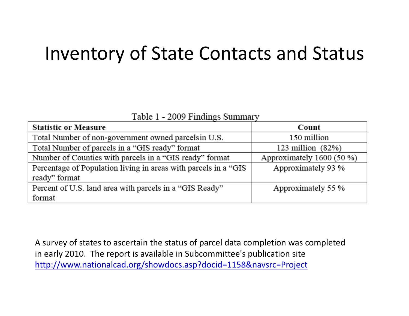### Inventory of State Contacts and Status

Table 1 - 2009 Findings Summary

| <b>Statistic or Measure</b>                                      | Count                     |
|------------------------------------------------------------------|---------------------------|
| Total Number of non-government owned parcels in U.S.             | 150 million               |
| Total Number of parcels in a "GIS ready" format                  | 123 million $(82%)$       |
| Number of Counties with parcels in a "GIS ready" format          | Approximately 1600 (50 %) |
| Percentage of Population living in areas with parcels in a "GIS" | Approximately 93 %        |
| ready" format                                                    |                           |
| Percent of U.S. land area with parcels in a "GIS Ready"          | Approximately 55 %        |
| format                                                           |                           |

A survey of states to ascertain the status of parcel data completion was completed in early 2010. The report is available in Subcommittee's publication site <http://www.nationalcad.org/showdocs.asp?docid=1158&navsrc=Project>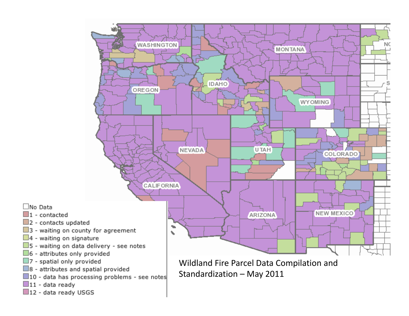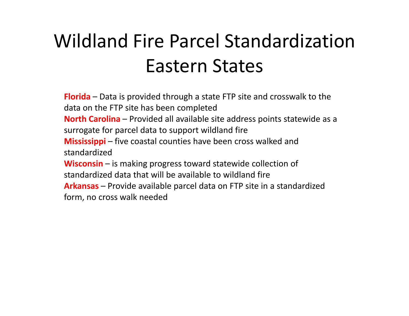# Wildland Fire Parcel StandardizationEastern States

**Florida** – Data is provided through <sup>a</sup> state FTP site and crosswalk to the data on the FTP site has been completed **North Carolina** – Provided all available site address points statewide as <sup>a</sup> surrogate for parcel data to support wildland fire **Mississippi** – five coastal counties have been cross walked and standardized**Wisconsin** – is making progress toward statewide collection of standardized data that will be available to wildland fire **Arkansas** – Provide available parcel data on FTP site in <sup>a</sup> standardized form, no cross walk needed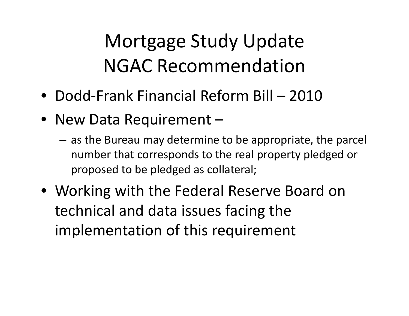# Mortgage Study Update NGAC Recommendation

- Dodd‐Frank Financial Reform Bill 2010
- New Data Requirement
	- $-$  as the Bureau may determine to be appropriate, the parcel number that corresponds to the real property pledged or proposed to be pledged as collateral;
- Working with the Federal Reserve Board on technical and data issues facing the implementation of this requirement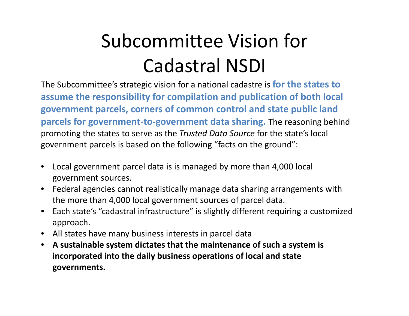# Subcommittee Vision for Cadastral NSDI

The Subcommittee's strategic vision for a national cadastre is **for the states to assume the responsibility for compilation and publication of both local government parcels, corners of common control and state public land parcels for government ‐to ‐government data sharing.** The reasoning behind promoting the states to serve as the *Trusted Data Source* for the state's local government parcels is based on the following "facts on the ground":

- $\bullet$  Local government parcel data is is managed by more than 4,000 local government sources.
- $\bullet$  Federal agencies cannot realistically manage data sharing arrangements with the more than 4,000 local government sources of parcel data.
- $\bullet$  Each state's "cadastral infrastructure" is slightly different requiring a customized approach.
- $\bullet$ All states have many business interests in parcel data
- $\bullet$ **A sustainable system dictates that the maintenance of such a system is incorporated into the daily business operations of local and state governments.**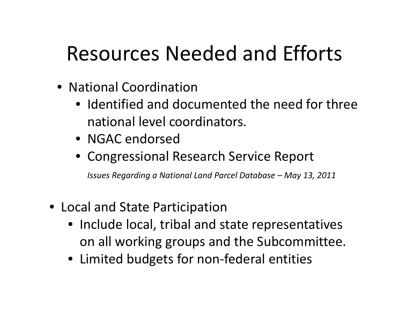# Resources Needed and Efforts

- National Coordination
	- Identified and documented the need for three national level coordinators.
	- NGAC endorsed
	- Congressional Research Service Report

*Issues Regarding <sup>a</sup> National Land Parcel Database – May 13, 2011*

- Local and State Participation
	- Include local, tribal and state representatives on all working groups and the Subcommittee.
	- Limited budgets for non-federal entities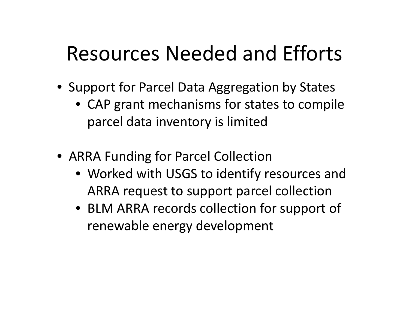## Resources Needed and Efforts

- Support for Parcel Data Aggregation by States
	- CAP grant mechanisms for states to compile parcel data inventory is limited
- ARRA Funding for Parcel Collection
	- Worked with USGS to identify resources and ARRA request to support parcel collection
	- BLM ARRA records collection for support of renewable energy development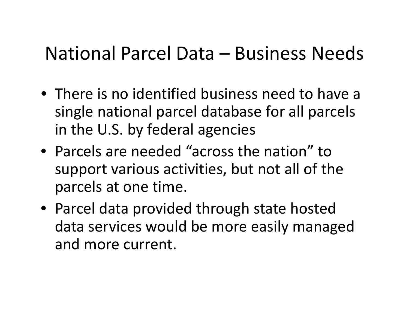### National Parcel Data – Business Needs

- There is no identified business need to have <sup>a</sup> single national parcel database for all parcels in the U.S. by federal agencies
- Parcels are needed "across the nation" tosupport various activities, but not all of the parcels at one time.
- Parcel data provided through state hosted data services would be more easily managed and more current.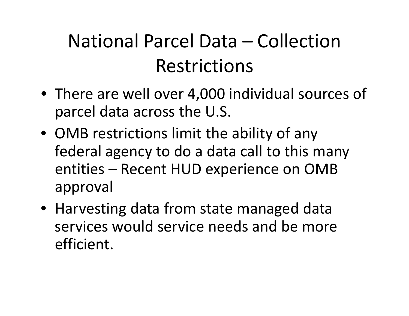## National Parcel Data – CollectionRestrictions

- There are well over 4,000 individual sources of parcel data across the U.S.
- OMB restrictions limit the ability of any federal agency to do <sup>a</sup> data call to this many entities – Recent HUD experience on OMB approval
- Harvesting data from state managed data services would service needs and be more efficient.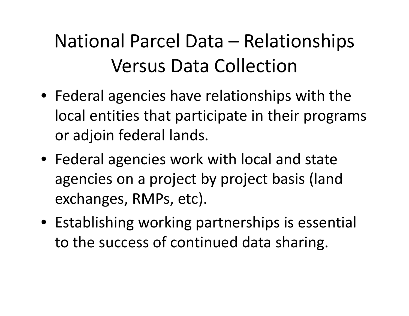# National Parcel Data – Relationships Versus Data Collection

- Federal agencies have relationships with the local entities that participate in their programs or adjoin federal lands.
- Federal agencies work with local and state agencies on <sup>a</sup> project by project basis (land exchanges, RMPs, etc).
- Establishing working partnerships is essential to the success of continued data sharing.